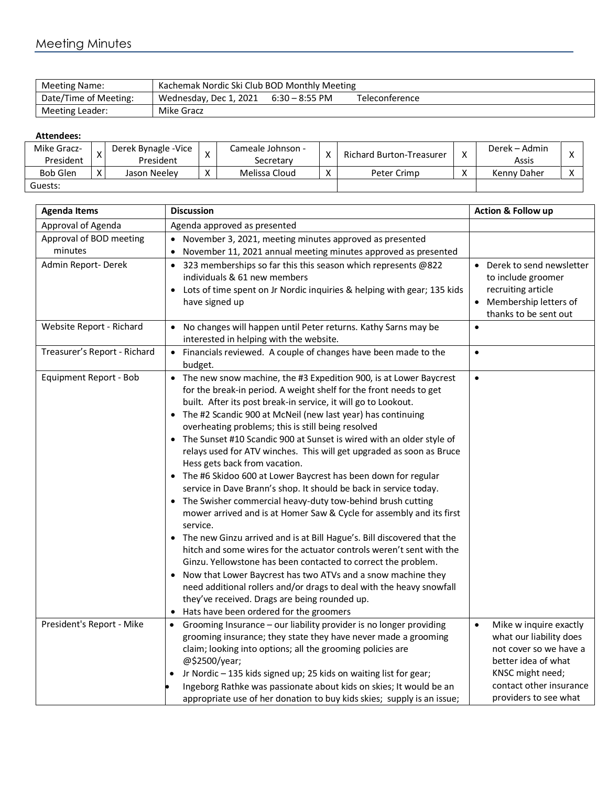## Meeting Minutes

| Meeting Name:         | Kachemak Nordic Ski Club BOD Monthly Meeting |                  |                |  |  |  |
|-----------------------|----------------------------------------------|------------------|----------------|--|--|--|
| Date/Time of Meeting: | Wednesday, Dec 1, 2021                       | $6:30 - 8:55$ PM | Teleconference |  |  |  |
| Meeting Leader:       | Mike Gracz                                   |                  |                |  |  |  |

## **Attendees:**

| Mike Gracz-     |           | Derek Bynagle - Vice | $\mathbf{v}$<br>$\sim$ | Cameale Johnson - | v | Richard Burton-Treasurer | $\mathbf{v}$    | Derek – Admin |  |
|-----------------|-----------|----------------------|------------------------|-------------------|---|--------------------------|-----------------|---------------|--|
|                 | President | President            |                        | Secretarv         |   |                          |                 | Assis         |  |
| <b>Bob Glen</b> |           | Jason Neelev         | $\mathbf{v}$<br>∧      | Melissa Cloud     | ◠ | Peter Crimp              | v<br>$\sqrt{ }$ | Kenny Daher   |  |
| Guests:         |           |                      |                        |                   |   |                          |                 |               |  |

| <b>Agenda Items</b>                | <b>Discussion</b>                                                                                                                                                                                                                                                                                                                                                                                                                                                                                                                                                                                                                                                                                                                                                                                                                                                                                                                                                                                                                                                                                                                                                                                                                                                               | <b>Action &amp; Follow up</b>                                                                                                                                                           |
|------------------------------------|---------------------------------------------------------------------------------------------------------------------------------------------------------------------------------------------------------------------------------------------------------------------------------------------------------------------------------------------------------------------------------------------------------------------------------------------------------------------------------------------------------------------------------------------------------------------------------------------------------------------------------------------------------------------------------------------------------------------------------------------------------------------------------------------------------------------------------------------------------------------------------------------------------------------------------------------------------------------------------------------------------------------------------------------------------------------------------------------------------------------------------------------------------------------------------------------------------------------------------------------------------------------------------|-----------------------------------------------------------------------------------------------------------------------------------------------------------------------------------------|
| Approval of Agenda                 | Agenda approved as presented                                                                                                                                                                                                                                                                                                                                                                                                                                                                                                                                                                                                                                                                                                                                                                                                                                                                                                                                                                                                                                                                                                                                                                                                                                                    |                                                                                                                                                                                         |
| Approval of BOD meeting<br>minutes | November 3, 2021, meeting minutes approved as presented<br>November 11, 2021 annual meeting minutes approved as presented                                                                                                                                                                                                                                                                                                                                                                                                                                                                                                                                                                                                                                                                                                                                                                                                                                                                                                                                                                                                                                                                                                                                                       |                                                                                                                                                                                         |
| Admin Report-Derek                 | 323 memberships so far this this season which represents @822<br>individuals & 61 new members<br>Lots of time spent on Jr Nordic inquiries & helping with gear; 135 kids<br>have signed up                                                                                                                                                                                                                                                                                                                                                                                                                                                                                                                                                                                                                                                                                                                                                                                                                                                                                                                                                                                                                                                                                      | • Derek to send newsletter<br>to include groomer<br>recruiting article<br>• Membership letters of<br>thanks to be sent out                                                              |
| Website Report - Richard           | No changes will happen until Peter returns. Kathy Sarns may be<br>$\bullet$<br>interested in helping with the website.                                                                                                                                                                                                                                                                                                                                                                                                                                                                                                                                                                                                                                                                                                                                                                                                                                                                                                                                                                                                                                                                                                                                                          |                                                                                                                                                                                         |
| Treasurer's Report - Richard       | Financials reviewed. A couple of changes have been made to the<br>$\bullet$<br>budget.                                                                                                                                                                                                                                                                                                                                                                                                                                                                                                                                                                                                                                                                                                                                                                                                                                                                                                                                                                                                                                                                                                                                                                                          | $\bullet$                                                                                                                                                                               |
| Equipment Report - Bob             | • The new snow machine, the #3 Expedition 900, is at Lower Baycrest<br>for the break-in period. A weight shelf for the front needs to get<br>built. After its post break-in service, it will go to Lookout.<br>The #2 Scandic 900 at McNeil (new last year) has continuing<br>$\bullet$<br>overheating problems; this is still being resolved<br>The Sunset #10 Scandic 900 at Sunset is wired with an older style of<br>relays used for ATV winches. This will get upgraded as soon as Bruce<br>Hess gets back from vacation.<br>• The #6 Skidoo 600 at Lower Baycrest has been down for regular<br>service in Dave Brann's shop. It should be back in service today.<br>The Swisher commercial heavy-duty tow-behind brush cutting<br>mower arrived and is at Homer Saw & Cycle for assembly and its first<br>service.<br>The new Ginzu arrived and is at Bill Hague's. Bill discovered that the<br>hitch and some wires for the actuator controls weren't sent with the<br>Ginzu. Yellowstone has been contacted to correct the problem.<br>Now that Lower Baycrest has two ATVs and a snow machine they<br>need additional rollers and/or drags to deal with the heavy snowfall<br>they've received. Drags are being rounded up.<br>Hats have been ordered for the groomers | $\bullet$                                                                                                                                                                               |
| President's Report - Mike          | Grooming Insurance - our liability provider is no longer providing<br>$\bullet$<br>grooming insurance; they state they have never made a grooming<br>claim; looking into options; all the grooming policies are<br>@\$2500/year;<br>Jr Nordic - 135 kids signed up; 25 kids on waiting list for gear;<br>Ingeborg Rathke was passionate about kids on skies; It would be an<br>appropriate use of her donation to buy kids skies; supply is an issue;                                                                                                                                                                                                                                                                                                                                                                                                                                                                                                                                                                                                                                                                                                                                                                                                                           | $\bullet$<br>Mike w inquire exactly<br>what our liability does<br>not cover so we have a<br>better idea of what<br>KNSC might need;<br>contact other insurance<br>providers to see what |